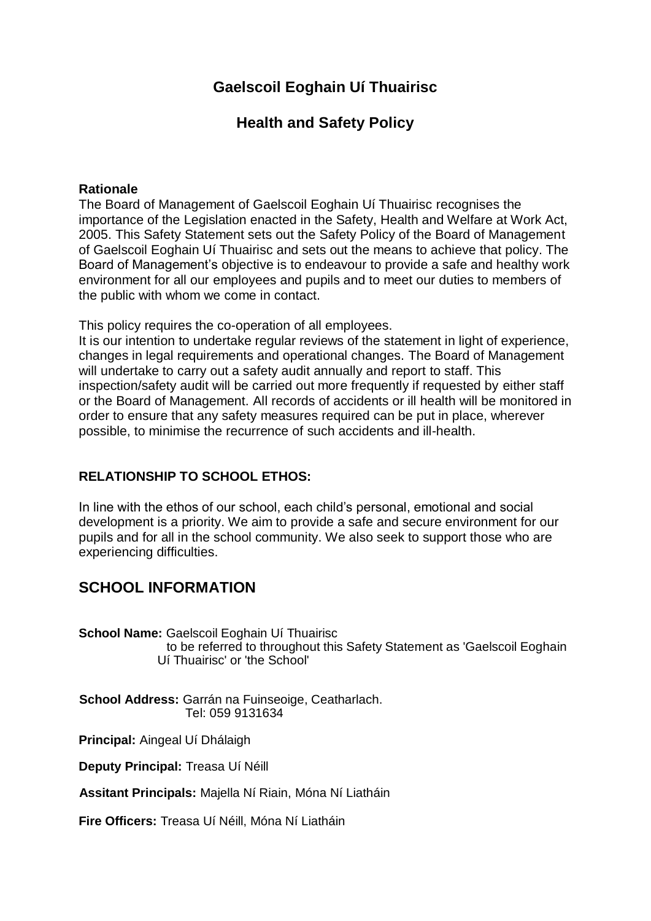## **Gaelscoil Eoghain Uí Thuairisc**

## **Health and Safety Policy**

## **Rationale**

The Board of Management of Gaelscoil Eoghain Uí Thuairisc recognises the importance of the Legislation enacted in the Safety, Health and Welfare at Work Act, 2005. This Safety Statement sets out the Safety Policy of the Board of Management of Gaelscoil Eoghain Uí Thuairisc and sets out the means to achieve that policy. The Board of Management's objective is to endeavour to provide a safe and healthy work environment for all our employees and pupils and to meet our duties to members of the public with whom we come in contact.

This policy requires the co-operation of all employees.

It is our intention to undertake regular reviews of the statement in light of experience, changes in legal requirements and operational changes. The Board of Management will undertake to carry out a safety audit annually and report to staff. This inspection/safety audit will be carried out more frequently if requested by either staff or the Board of Management. All records of accidents or ill health will be monitored in order to ensure that any safety measures required can be put in place, wherever possible, to minimise the recurrence of such accidents and ill-health.

## **RELATIONSHIP TO SCHOOL ETHOS:**

In line with the ethos of our school, each child's personal, emotional and social development is a priority. We aim to provide a safe and secure environment for our pupils and for all in the school community. We also seek to support those who are experiencing difficulties.

## **SCHOOL INFORMATION**

**School Name:** Gaelscoil Eoghain Uí Thuairisc to be referred to throughout this Safety Statement as 'Gaelscoil Eoghain Uí Thuairisc' or 'the School'

**School Address:** Garrán na Fuinseoige, Ceatharlach. Tel: 059 9131634

**Principal:** Aingeal Uí Dhálaigh

**Deputy Principal:** Treasa Uí Néill

**Assitant Principals:** Majella Ní Riain, Móna Ní Liatháin

**Fire Officers:** Treasa Uí Néill, Móna Ní Liatháin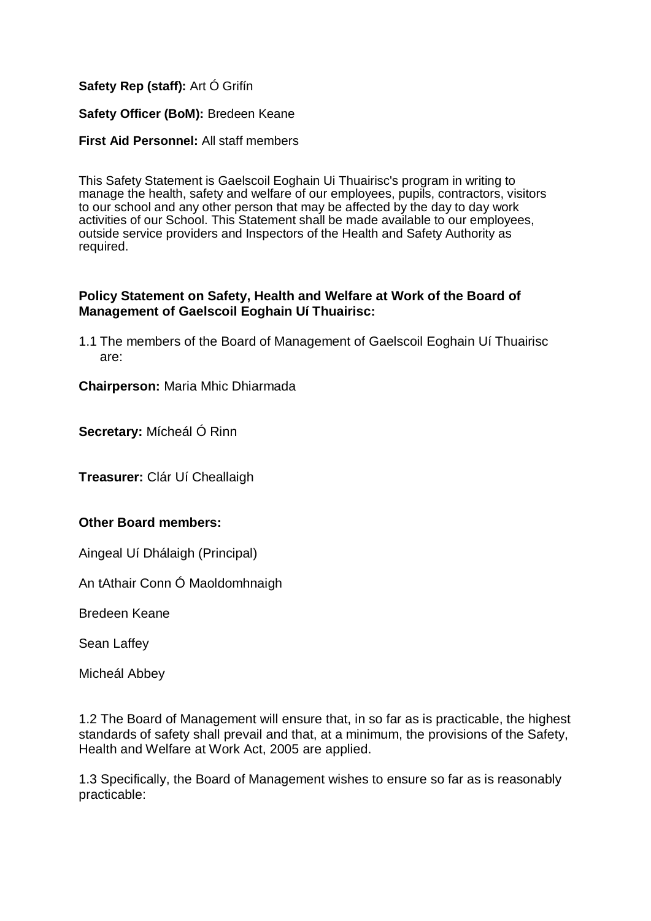## **Safety Rep (staff):** Art Ó Grifín

## **Safety Officer (BoM):** Bredeen Keane

## **First Aid Personnel:** All staff members

This Safety Statement is Gaelscoil Eoghain Ui Thuairisc's program in writing to manage the health, safety and welfare of our employees, pupils, contractors, visitors to our school and any other person that may be affected by the day to day work activities of our School. This Statement shall be made available to our employees, outside service providers and Inspectors of the Health and Safety Authority as required.

## **Policy Statement on Safety, Health and Welfare at Work of the Board of Management of Gaelscoil Eoghain Uí Thuairisc:**

1.1 The members of the Board of Management of Gaelscoil Eoghain Uí Thuairisc are:

**Chairperson:** Maria Mhic Dhiarmada

**Secretary:** Mícheál Ó Rinn

**Treasurer:** Clár Uí Cheallaigh

## **Other Board members:**

Aingeal Uí Dhálaigh (Principal)

An tAthair Conn Ó Maoldomhnaigh

Bredeen Keane

Sean Laffey

Micheál Abbey

1.2 The Board of Management will ensure that, in so far as is practicable, the highest standards of safety shall prevail and that, at a minimum, the provisions of the Safety, Health and Welfare at Work Act, 2005 are applied.

1.3 Specifically, the Board of Management wishes to ensure so far as is reasonably practicable: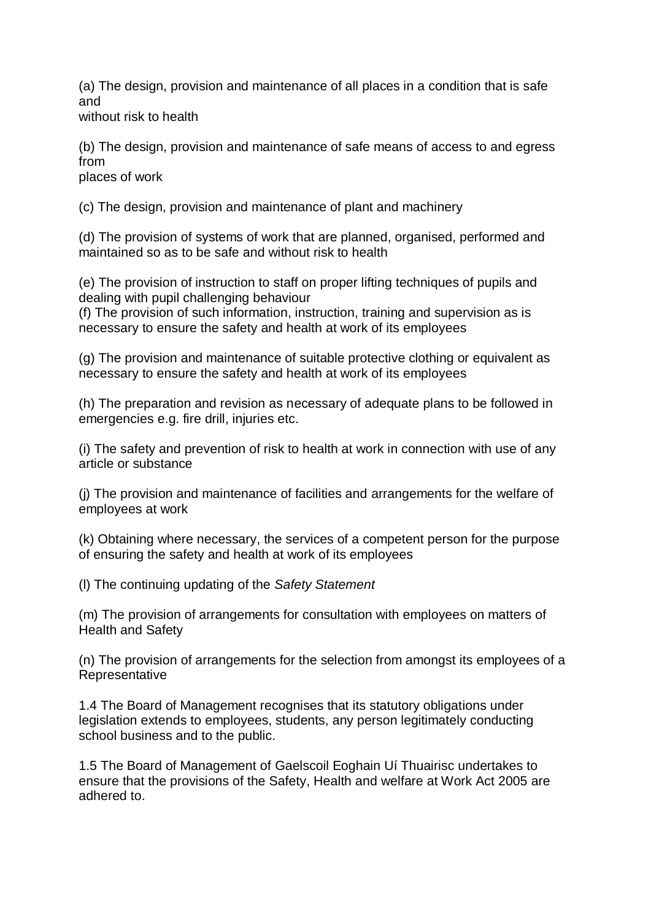(a) The design, provision and maintenance of all places in a condition that is safe and

without risk to health

(b) The design, provision and maintenance of safe means of access to and egress from

places of work

(c) The design, provision and maintenance of plant and machinery

(d) The provision of systems of work that are planned, organised, performed and maintained so as to be safe and without risk to health

(e) The provision of instruction to staff on proper lifting techniques of pupils and dealing with pupil challenging behaviour

(f) The provision of such information, instruction, training and supervision as is necessary to ensure the safety and health at work of its employees

(g) The provision and maintenance of suitable protective clothing or equivalent as necessary to ensure the safety and health at work of its employees

(h) The preparation and revision as necessary of adequate plans to be followed in emergencies e.g. fire drill, injuries etc.

(i) The safety and prevention of risk to health at work in connection with use of any article or substance

(j) The provision and maintenance of facilities and arrangements for the welfare of employees at work

(k) Obtaining where necessary, the services of a competent person for the purpose of ensuring the safety and health at work of its employees

(l) The continuing updating of the *Safety Statement*

(m) The provision of arrangements for consultation with employees on matters of Health and Safety

(n) The provision of arrangements for the selection from amongst its employees of a Representative

1.4 The Board of Management recognises that its statutory obligations under legislation extends to employees, students, any person legitimately conducting school business and to the public.

1.5 The Board of Management of Gaelscoil Eoghain Uí Thuairisc undertakes to ensure that the provisions of the Safety, Health and welfare at Work Act 2005 are adhered to.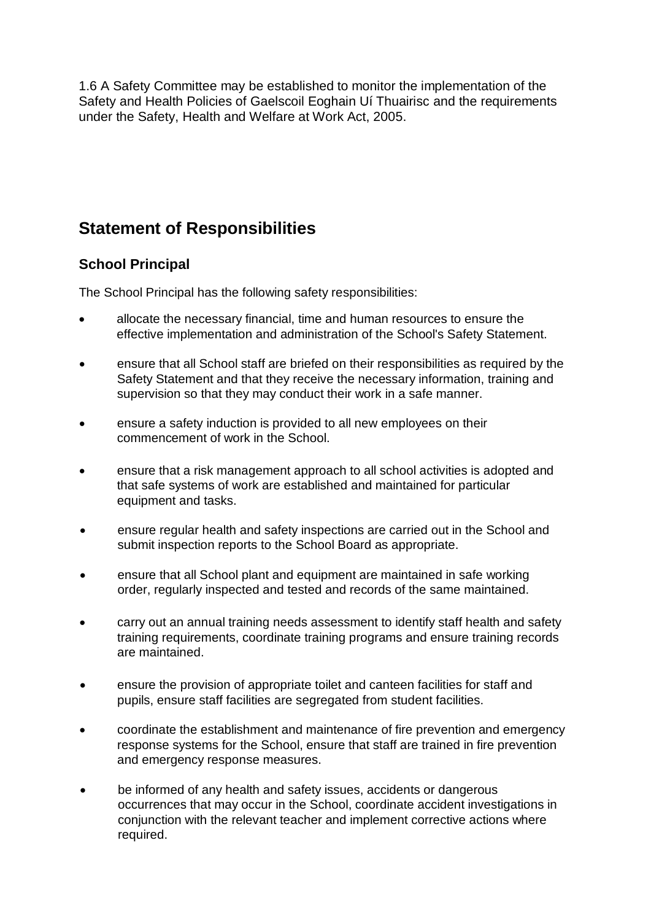1.6 A Safety Committee may be established to monitor the implementation of the Safety and Health Policies of Gaelscoil Eoghain Uí Thuairisc and the requirements under the Safety, Health and Welfare at Work Act, 2005.

# **Statement of Responsibilities**

## **School Principal**

The School Principal has the following safety responsibilities:

- allocate the necessary financial, time and human resources to ensure the effective implementation and administration of the School's Safety Statement.
- ensure that all School staff are briefed on their responsibilities as required by the Safety Statement and that they receive the necessary information, training and supervision so that they may conduct their work in a safe manner.
- ensure a safety induction is provided to all new employees on their commencement of work in the School.
- ensure that a risk management approach to all school activities is adopted and that safe systems of work are established and maintained for particular equipment and tasks.
- ensure regular health and safety inspections are carried out in the School and submit inspection reports to the School Board as appropriate.
- ensure that all School plant and equipment are maintained in safe working order, regularly inspected and tested and records of the same maintained.
- carry out an annual training needs assessment to identify staff health and safety training requirements, coordinate training programs and ensure training records are maintained.
- ensure the provision of appropriate toilet and canteen facilities for staff and pupils, ensure staff facilities are segregated from student facilities.
- coordinate the establishment and maintenance of fire prevention and emergency response systems for the School, ensure that staff are trained in fire prevention and emergency response measures.
- be informed of any health and safety issues, accidents or dangerous occurrences that may occur in the School, coordinate accident investigations in conjunction with the relevant teacher and implement corrective actions where required.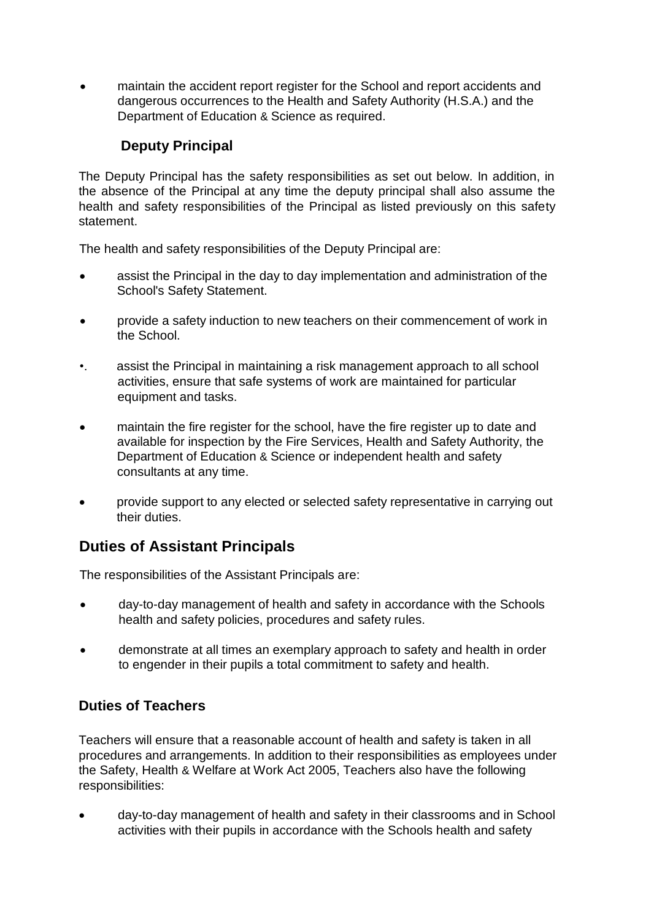maintain the accident report register for the School and report accidents and dangerous occurrences to the Health and Safety Authority (H.S.A.) and the Department of Education & Science as required.

## **Deputy Principal**

The Deputy Principal has the safety responsibilities as set out below. In addition, in the absence of the Principal at any time the deputy principal shall also assume the health and safety responsibilities of the Principal as listed previously on this safety statement.

The health and safety responsibilities of the Deputy Principal are:

- assist the Principal in the day to day implementation and administration of the School's Safety Statement.
- provide a safety induction to new teachers on their commencement of work in the School.
- •. assist the Principal in maintaining a risk management approach to all school activities, ensure that safe systems of work are maintained for particular equipment and tasks.
- maintain the fire register for the school, have the fire register up to date and available for inspection by the Fire Services, Health and Safety Authority, the Department of Education & Science or independent health and safety consultants at any time.
- provide support to any elected or selected safety representative in carrying out their duties.

## **Duties of Assistant Principals**

The responsibilities of the Assistant Principals are:

- day-to-day management of health and safety in accordance with the Schools health and safety policies, procedures and safety rules.
- demonstrate at all times an exemplary approach to safety and health in order to engender in their pupils a total commitment to safety and health.

## **Duties of Teachers**

Teachers will ensure that a reasonable account of health and safety is taken in all procedures and arrangements. In addition to their responsibilities as employees under the Safety, Health & Welfare at Work Act 2005, Teachers also have the following responsibilities:

 day-to-day management of health and safety in their classrooms and in School activities with their pupils in accordance with the Schools health and safety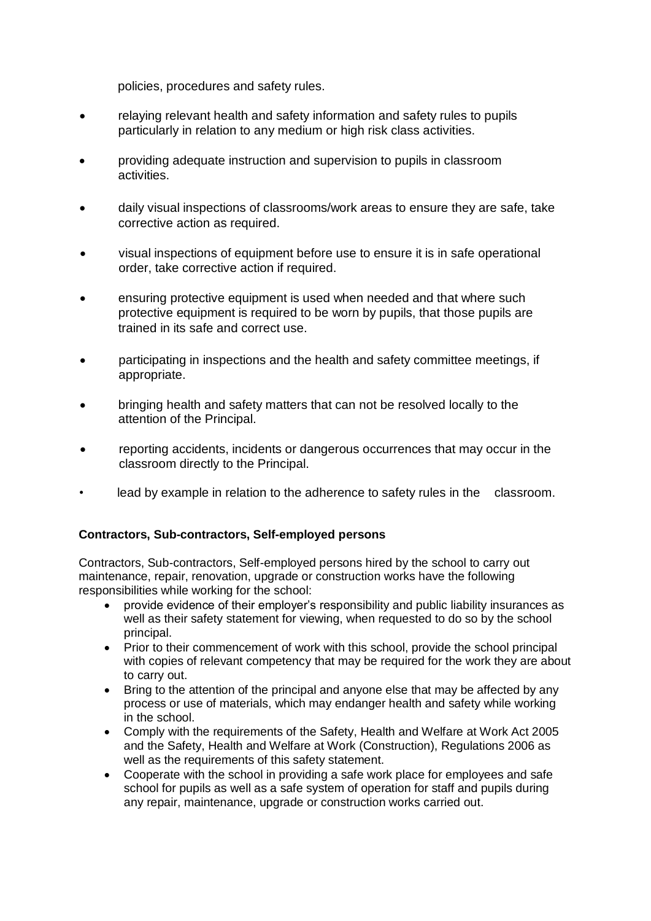policies, procedures and safety rules.

- relaying relevant health and safety information and safety rules to pupils particularly in relation to any medium or high risk class activities.
- providing adequate instruction and supervision to pupils in classroom activities.
- daily visual inspections of classrooms/work areas to ensure they are safe, take corrective action as required.
- visual inspections of equipment before use to ensure it is in safe operational order, take corrective action if required.
- ensuring protective equipment is used when needed and that where such protective equipment is required to be worn by pupils, that those pupils are trained in its safe and correct use.
- participating in inspections and the health and safety committee meetings, if appropriate.
- bringing health and safety matters that can not be resolved locally to the attention of the Principal.
- reporting accidents, incidents or dangerous occurrences that may occur in the classroom directly to the Principal.
- lead by example in relation to the adherence to safety rules in the classroom.

## **Contractors, Sub-contractors, Self-employed persons**

Contractors, Sub-contractors, Self-employed persons hired by the school to carry out maintenance, repair, renovation, upgrade or construction works have the following responsibilities while working for the school:

- provide evidence of their employer's responsibility and public liability insurances as well as their safety statement for viewing, when requested to do so by the school principal.
- Prior to their commencement of work with this school, provide the school principal with copies of relevant competency that may be required for the work they are about to carry out.
- Bring to the attention of the principal and anyone else that may be affected by any process or use of materials, which may endanger health and safety while working in the school.
- Comply with the requirements of the Safety, Health and Welfare at Work Act 2005 and the Safety, Health and Welfare at Work (Construction), Regulations 2006 as well as the requirements of this safety statement.
- Cooperate with the school in providing a safe work place for employees and safe school for pupils as well as a safe system of operation for staff and pupils during any repair, maintenance, upgrade or construction works carried out.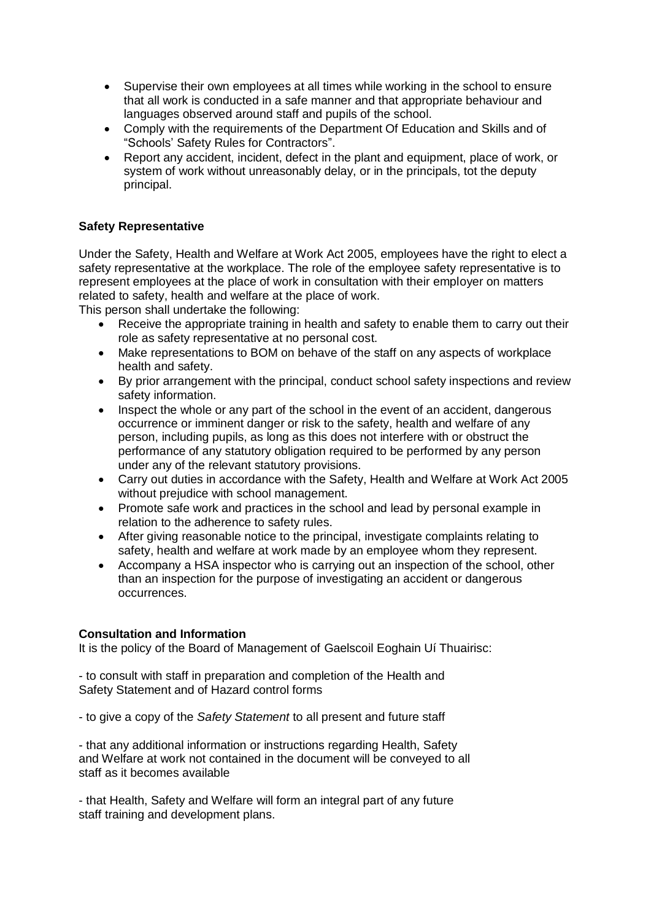- Supervise their own employees at all times while working in the school to ensure that all work is conducted in a safe manner and that appropriate behaviour and languages observed around staff and pupils of the school.
- Comply with the requirements of the Department Of Education and Skills and of "Schools' Safety Rules for Contractors".
- Report any accident, incident, defect in the plant and equipment, place of work, or system of work without unreasonably delay, or in the principals, tot the deputy principal.

## **Safety Representative**

Under the Safety, Health and Welfare at Work Act 2005, employees have the right to elect a safety representative at the workplace. The role of the employee safety representative is to represent employees at the place of work in consultation with their employer on matters related to safety, health and welfare at the place of work.

This person shall undertake the following:

- Receive the appropriate training in health and safety to enable them to carry out their role as safety representative at no personal cost.
- Make representations to BOM on behave of the staff on any aspects of workplace health and safety.
- By prior arrangement with the principal, conduct school safety inspections and review safety information.
- Inspect the whole or any part of the school in the event of an accident, dangerous occurrence or imminent danger or risk to the safety, health and welfare of any person, including pupils, as long as this does not interfere with or obstruct the performance of any statutory obligation required to be performed by any person under any of the relevant statutory provisions.
- Carry out duties in accordance with the Safety, Health and Welfare at Work Act 2005 without prejudice with school management.
- Promote safe work and practices in the school and lead by personal example in relation to the adherence to safety rules.
- After giving reasonable notice to the principal, investigate complaints relating to safety, health and welfare at work made by an employee whom they represent.
- Accompany a HSA inspector who is carrying out an inspection of the school, other than an inspection for the purpose of investigating an accident or dangerous occurrences.

## **Consultation and Information**

It is the policy of the Board of Management of Gaelscoil Eoghain Uí Thuairisc:

- to consult with staff in preparation and completion of the Health and Safety Statement and of Hazard control forms

- to give a copy of the *Safety Statement* to all present and future staff

- that any additional information or instructions regarding Health, Safety and Welfare at work not contained in the document will be conveyed to all staff as it becomes available

- that Health, Safety and Welfare will form an integral part of any future staff training and development plans.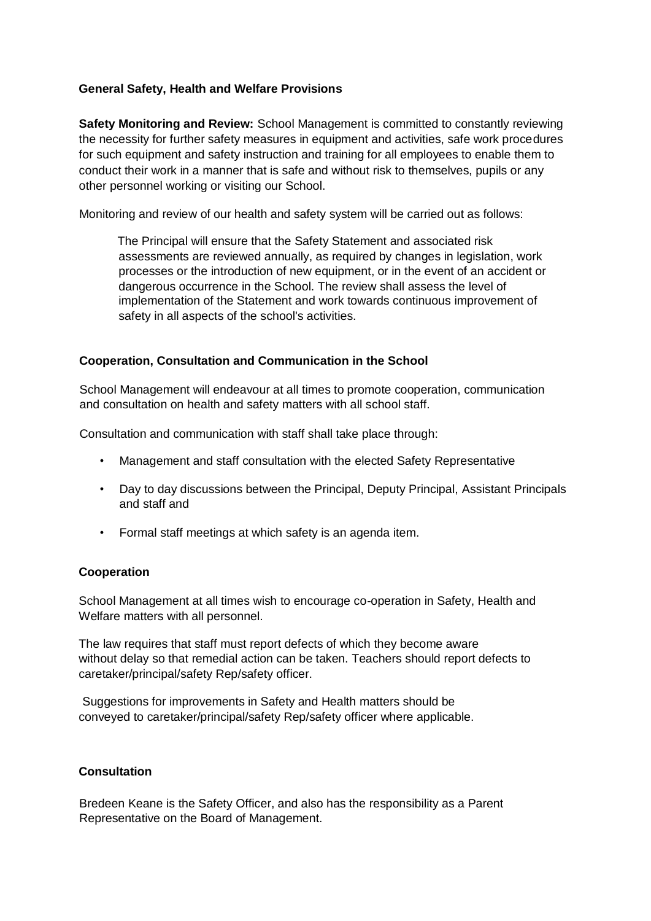## **General Safety, Health and Welfare Provisions**

**Safety Monitoring and Review:** School Management is committed to constantly reviewing the necessity for further safety measures in equipment and activities, safe work procedures for such equipment and safety instruction and training for all employees to enable them to conduct their work in a manner that is safe and without risk to themselves, pupils or any other personnel working or visiting our School.

Monitoring and review of our health and safety system will be carried out as follows:

The Principal will ensure that the Safety Statement and associated risk assessments are reviewed annually, as required by changes in legislation, work processes or the introduction of new equipment, or in the event of an accident or dangerous occurrence in the School. The review shall assess the level of implementation of the Statement and work towards continuous improvement of safety in all aspects of the school's activities.

## **Cooperation, Consultation and Communication in the School**

School Management will endeavour at all times to promote cooperation, communication and consultation on health and safety matters with all school staff.

Consultation and communication with staff shall take place through:

- Management and staff consultation with the elected Safety Representative
- Day to day discussions between the Principal, Deputy Principal, Assistant Principals and staff and
- Formal staff meetings at which safety is an agenda item.

## **Cooperation**

School Management at all times wish to encourage co-operation in Safety, Health and Welfare matters with all personnel.

The law requires that staff must report defects of which they become aware without delay so that remedial action can be taken. Teachers should report defects to caretaker/principal/safety Rep/safety officer.

Suggestions for improvements in Safety and Health matters should be conveyed to caretaker/principal/safety Rep/safety officer where applicable.

## **Consultation**

Bredeen Keane is the Safety Officer, and also has the responsibility as a Parent Representative on the Board of Management.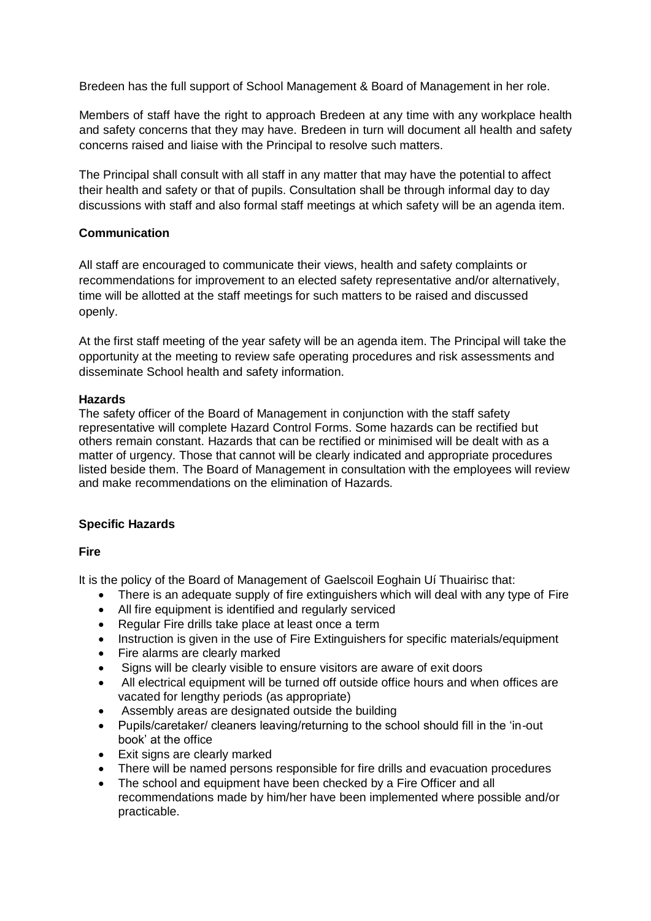Bredeen has the full support of School Management & Board of Management in her role.

Members of staff have the right to approach Bredeen at any time with any workplace health and safety concerns that they may have. Bredeen in turn will document all health and safety concerns raised and liaise with the Principal to resolve such matters.

The Principal shall consult with all staff in any matter that may have the potential to affect their health and safety or that of pupils. Consultation shall be through informal day to day discussions with staff and also formal staff meetings at which safety will be an agenda item.

## **Communication**

All staff are encouraged to communicate their views, health and safety complaints or recommendations for improvement to an elected safety representative and/or alternatively, time will be allotted at the staff meetings for such matters to be raised and discussed openly.

At the first staff meeting of the year safety will be an agenda item. The Principal will take the opportunity at the meeting to review safe operating procedures and risk assessments and disseminate School health and safety information.

## **Hazards**

The safety officer of the Board of Management in conjunction with the staff safety representative will complete Hazard Control Forms. Some hazards can be rectified but others remain constant. Hazards that can be rectified or minimised will be dealt with as a matter of urgency. Those that cannot will be clearly indicated and appropriate procedures listed beside them. The Board of Management in consultation with the employees will review and make recommendations on the elimination of Hazards.

## **Specific Hazards**

**Fire**

It is the policy of the Board of Management of Gaelscoil Eoghain Uí Thuairisc that:

- There is an adequate supply of fire extinguishers which will deal with any type of Fire
- All fire equipment is identified and regularly serviced
- Regular Fire drills take place at least once a term
- Instruction is given in the use of Fire Extinguishers for specific materials/equipment
- Fire alarms are clearly marked
- Signs will be clearly visible to ensure visitors are aware of exit doors
- All electrical equipment will be turned off outside office hours and when offices are vacated for lengthy periods (as appropriate)
- Assembly areas are designated outside the building
- Pupils/caretaker/ cleaners leaving/returning to the school should fill in the 'in-out book' at the office
- Exit signs are clearly marked
- There will be named persons responsible for fire drills and evacuation procedures
- The school and equipment have been checked by a Fire Officer and all recommendations made by him/her have been implemented where possible and/or practicable.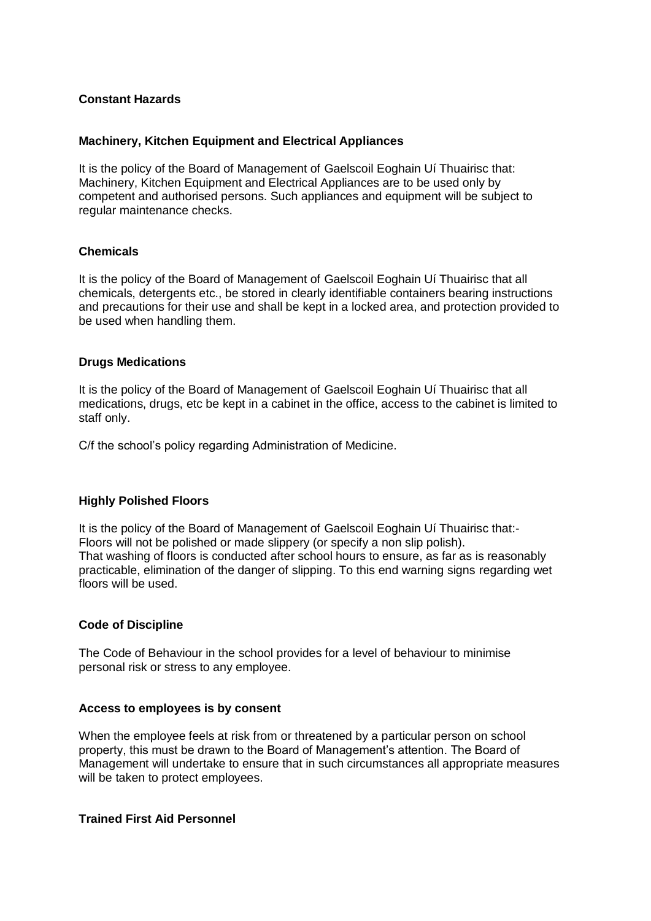## **Constant Hazards**

#### **Machinery, Kitchen Equipment and Electrical Appliances**

It is the policy of the Board of Management of Gaelscoil Eoghain Uí Thuairisc that: Machinery, Kitchen Equipment and Electrical Appliances are to be used only by competent and authorised persons. Such appliances and equipment will be subject to regular maintenance checks.

#### **Chemicals**

It is the policy of the Board of Management of Gaelscoil Eoghain Uí Thuairisc that all chemicals, detergents etc., be stored in clearly identifiable containers bearing instructions and precautions for their use and shall be kept in a locked area, and protection provided to be used when handling them.

## **Drugs Medications**

It is the policy of the Board of Management of Gaelscoil Eoghain Uí Thuairisc that all medications, drugs, etc be kept in a cabinet in the office, access to the cabinet is limited to staff only.

C/f the school's policy regarding Administration of Medicine.

## **Highly Polished Floors**

It is the policy of the Board of Management of Gaelscoil Eoghain Uí Thuairisc that:- Floors will not be polished or made slippery (or specify a non slip polish). That washing of floors is conducted after school hours to ensure, as far as is reasonably practicable, elimination of the danger of slipping. To this end warning signs regarding wet floors will be used.

#### **Code of Discipline**

The Code of Behaviour in the school provides for a level of behaviour to minimise personal risk or stress to any employee.

#### **Access to employees is by consent**

When the employee feels at risk from or threatened by a particular person on school property, this must be drawn to the Board of Management's attention. The Board of Management will undertake to ensure that in such circumstances all appropriate measures will be taken to protect employees.

#### **Trained First Aid Personnel**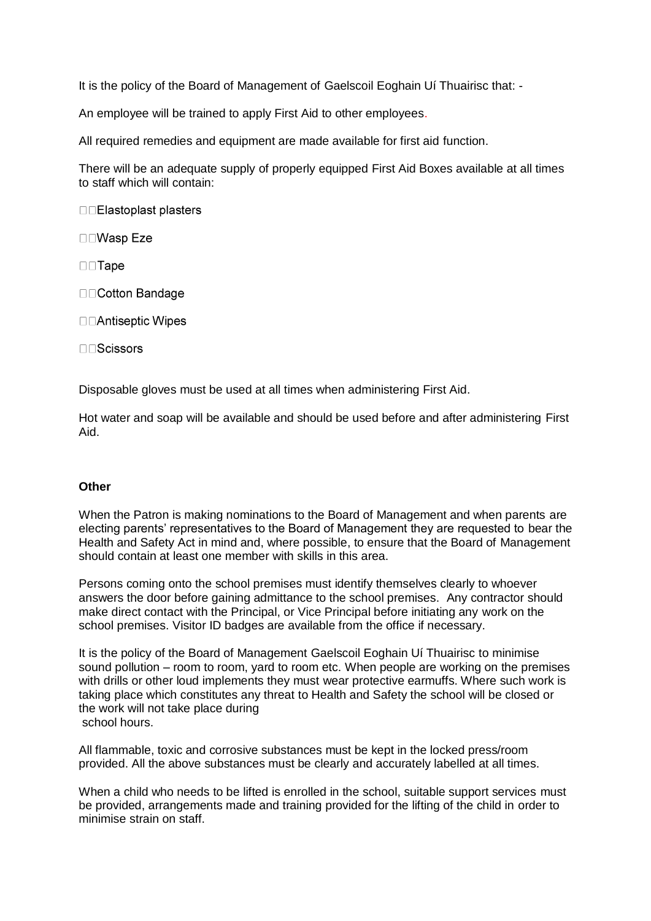It is the policy of the Board of Management of Gaelscoil Eoghain Uí Thuairisc that: -

An employee will be trained to apply First Aid to other employees.

All required remedies and equipment are made available for first aid function.

There will be an adequate supply of properly equipped First Aid Boxes available at all times to staff which will contain:

□□Elastoplast plasters

□□Wasp Eze

 $\square$  Tape

□□Cotton Bandage

□□Antiseptic Wipes

 $\Box$  Scissors

Disposable gloves must be used at all times when administering First Aid.

Hot water and soap will be available and should be used before and after administering First Aid.

#### **Other**

When the Patron is making nominations to the Board of Management and when parents are electing parents' representatives to the Board of Management they are requested to bear the Health and Safety Act in mind and, where possible, to ensure that the Board of Management should contain at least one member with skills in this area.

Persons coming onto the school premises must identify themselves clearly to whoever answers the door before gaining admittance to the school premises. Any contractor should make direct contact with the Principal, or Vice Principal before initiating any work on the school premises. Visitor ID badges are available from the office if necessary.

It is the policy of the Board of Management Gaelscoil Eoghain Uí Thuairisc to minimise sound pollution – room to room, yard to room etc. When people are working on the premises with drills or other loud implements they must wear protective earmuffs. Where such work is taking place which constitutes any threat to Health and Safety the school will be closed or the work will not take place during school hours.

All flammable, toxic and corrosive substances must be kept in the locked press/room provided. All the above substances must be clearly and accurately labelled at all times.

When a child who needs to be lifted is enrolled in the school, suitable support services must be provided, arrangements made and training provided for the lifting of the child in order to minimise strain on staff.